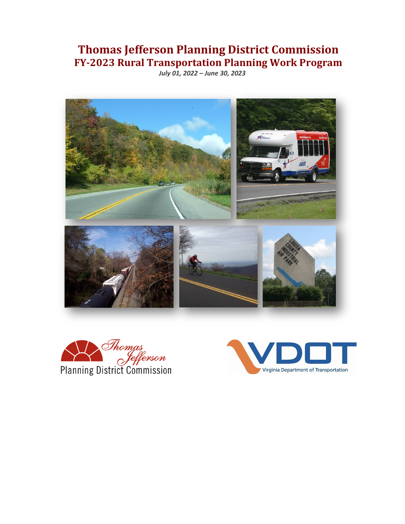# **Thomas Jefferson Planning District Commission FY-2023 Rural Transportation Planning Work Program**

*July 01, 2022 – June 30, 2023*





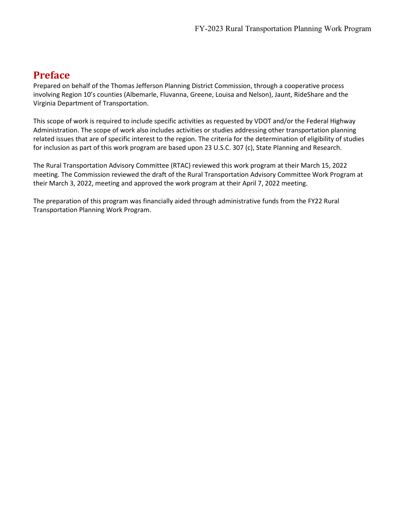### **Preface**

Prepared on behalf of the Thomas Jefferson Planning District Commission, through a cooperative process involving Region 10's counties (Albemarle, Fluvanna, Greene, Louisa and Nelson), Jaunt, RideShare and the Virginia Department of Transportation.

This scope of work is required to include specific activities as requested by VDOT and/or the Federal Highway Administration. The scope of work also includes activities or studies addressing other transportation planning related issues that are of specific interest to the region. The criteria for the determination of eligibility of studies for inclusion as part of this work program are based upon 23 U.S.C. 307 (c), State Planning and Research.

The Rural Transportation Advisory Committee (RTAC) reviewed this work program at their March 15, 2022 meeting. The Commission reviewed the draft of the Rural Transportation Advisory Committee Work Program at their March 3, 2022, meeting and approved the work program at their April 7, 2022 meeting.

The preparation of this program was financially aided through administrative funds from the FY22 Rural Transportation Planning Work Program.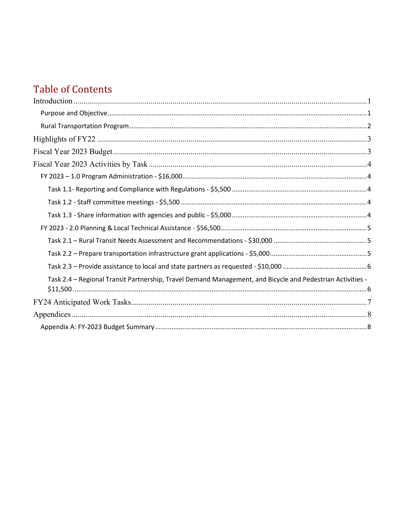# **Table of Contents**

| Task 2.4 - Regional Transit Partnership, Travel Demand Management, and Bicycle and Pedestrian Activities - |  |
|------------------------------------------------------------------------------------------------------------|--|
|                                                                                                            |  |
|                                                                                                            |  |
|                                                                                                            |  |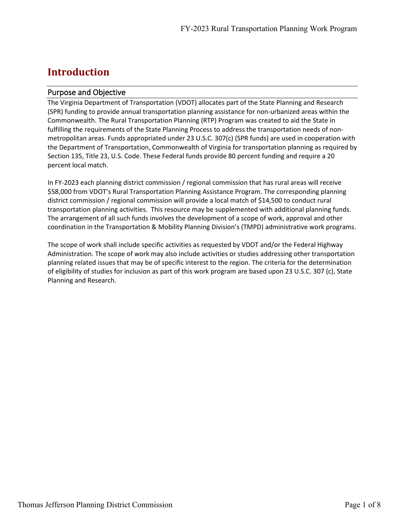### <span id="page-3-0"></span>**Introduction**

### <span id="page-3-1"></span>Purpose and Objective

The Virginia Department of Transportation (VDOT) allocates part of the State Planning and Research (SPR) funding to provide annual transportation planning assistance for non-urbanized areas within the Commonwealth. The Rural Transportation Planning (RTP) Program was created to aid the State in fulfilling the requirements of the State Planning Process to address the transportation needs of nonmetropolitan areas. Funds appropriated under 23 U.S.C. 307(c) (SPR funds) are used in cooperation with the Department of Transportation, Commonwealth of Virginia for transportation planning as required by Section 135, Title 23, U.S. Code. These Federal funds provide 80 percent funding and require a 20 percent local match.

In FY-2023 each planning district commission / regional commission that has rural areas will receive \$58,000 from VDOT's Rural Transportation Planning Assistance Program. The corresponding planning district commission / regional commission will provide a local match of \$14,500 to conduct rural transportation planning activities. This resource may be supplemented with additional planning funds. The arrangement of all such funds involves the development of a scope of work, approval and other coordination in the Transportation & Mobility Planning Division's (TMPD) administrative work programs.

The scope of work shall include specific activities as requested by VDOT and/or the Federal Highway Administration. The scope of work may also include activities or studies addressing other transportation planning related issues that may be of specific interest to the region. The criteria for the determination of eligibility of studies for inclusion as part of this work program are based upon 23 U.S.C. 307 (c), State Planning and Research.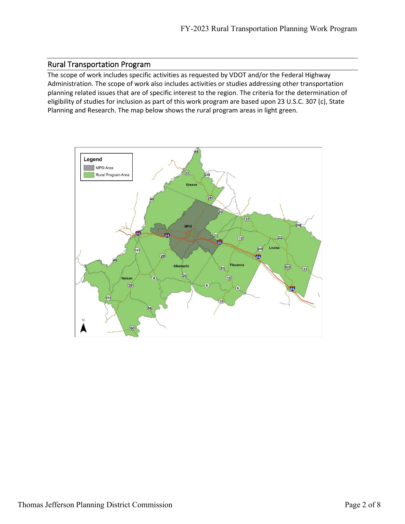### <span id="page-4-0"></span>Rural Transportation Program

The scope of work includes specific activities as requested by VDOT and/or the Federal Highway Administration. The scope of work also includes activities or studies addressing other transportation planning related issues that are of specific interest to the region. The criteria for the determination of eligibility of studies for inclusion as part of this work program are based upon 23 U.S.C. 307 (c), State Planning and Research. The map below shows the rural program areas in light green.

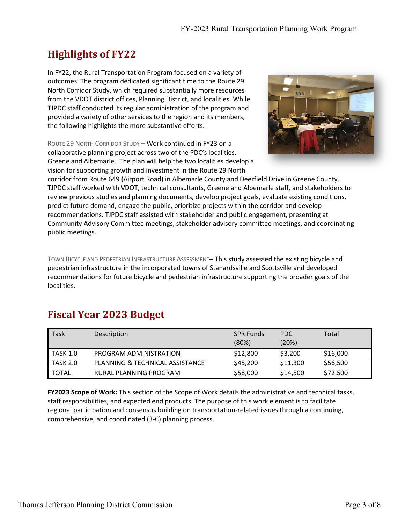## <span id="page-5-0"></span>**Highlights of FY22**

In FY22, the Rural Transportation Program focused on a variety of outcomes. The program dedicated significant time to the Route 29 North Corridor Study, which required substantially more resources from the VDOT district offices, Planning District, and localities. While TJPDC staff conducted its regular administration of the program and provided a variety of other services to the region and its members, the following highlights the more substantive efforts.

ROUTE 29 NORTH CORRIDOR STUDY – Work continued in FY23 on a collaborative planning project across two of the PDC's localities, Greene and Albemarle. The plan will help the two localities develop a vision for supporting growth and investment in the Route 29 North



corridor from Route 649 (Airport Road) in Albemarle County and Deerfield Drive in Greene County. TJPDC staff worked with VDOT, technical consultants, Greene and Albemarle staff, and stakeholders to review previous studies and planning documents, develop project goals, evaluate existing conditions, predict future demand, engage the public, prioritize projects within the corridor and develop recommendations. TJPDC staff assisted with stakeholder and public engagement, presenting at Community Advisory Committee meetings, stakeholder advisory committee meetings, and coordinating public meetings.

TOWN BICYCLE AND PEDESTRIAN INFRASTRUCTURE ASSESSMENT– This study assessed the existing bicycle and pedestrian infrastructure in the incorporated towns of Stanardsville and Scottsville and developed recommendations for future bicycle and pedestrian infrastructure supporting the broader goals of the localities.

# <span id="page-5-1"></span>**Fiscal Year 2023 Budget**

| Task            | Description                     | <b>SPR Funds</b><br>(80%) | <b>PDC</b><br>(20%) | Total    |
|-----------------|---------------------------------|---------------------------|---------------------|----------|
| <b>TASK 1.0</b> | PROGRAM ADMINISTRATION          | \$12,800                  | \$3,200             | \$16,000 |
| <b>TASK 2.0</b> | PLANNING & TECHNICAL ASSISTANCE | \$45,200                  | \$11,300            | \$56,500 |
| <b>TOTAL</b>    | RURAL PLANNING PROGRAM          | \$58,000                  | \$14,500            | \$72,500 |

**FY2023 Scope of Work:** This section of the Scope of Work details the administrative and technical tasks, staff responsibilities, and expected end products. The purpose of this work element is to facilitate regional participation and consensus building on transportation-related issues through a continuing, comprehensive, and coordinated (3-C) planning process.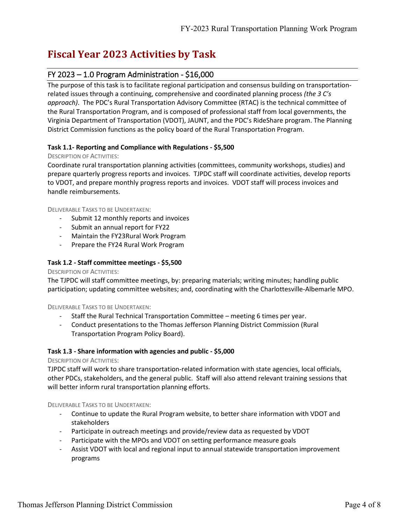### <span id="page-6-0"></span>**Fiscal Year 2023 Activities by Task**

### <span id="page-6-1"></span>FY 2023 – 1.0 Program Administration - \$16,000

The purpose of this task is to facilitate regional participation and consensus building on transportationrelated issues through a continuing, comprehensive and coordinated planning process *(the 3 C's approach)*. The PDC's Rural Transportation Advisory Committee (RTAC) is the technical committee of the Rural Transportation Program, and is composed of professional staff from local governments, the Virginia Department of Transportation (VDOT), JAUNT, and the PDC's RideShare program. The Planning District Commission functions as the policy board of the Rural Transportation Program.

### <span id="page-6-2"></span>**Task 1.1- Reporting and Compliance with Regulations - \$5,500**

#### DESCRIPTION OF ACTIVITIES:

Coordinate rural transportation planning activities (committees, community workshops, studies) and prepare quarterly progress reports and invoices. TJPDC staff will coordinate activities, develop reports to VDOT, and prepare monthly progress reports and invoices. VDOT staff will process invoices and handle reimbursements.

DELIVERABLE TASKS TO BE UNDERTAKEN:

- Submit 12 monthly reports and invoices
- Submit an annual report for FY22
- Maintain the FY23Rural Work Program
- Prepare the FY24 Rural Work Program

#### <span id="page-6-3"></span>**Task 1.2 - Staff committee meetings - \$5,500**

#### DESCRIPTION OF ACTIVITIES:

The TJPDC will staff committee meetings, by: preparing materials; writing minutes; handling public participation; updating committee websites; and, coordinating with the Charlottesville-Albemarle MPO.

DELIVERABLE TASKS TO BE UNDERTAKEN:

- Staff the Rural Technical Transportation Committee meeting 6 times per year.
- Conduct presentations to the Thomas Jefferson Planning District Commission (Rural Transportation Program Policy Board).

#### <span id="page-6-4"></span>**Task 1.3 - Share information with agencies and public - \$5,000**

#### DESCRIPTION OF ACTIVITIES:

TJPDC staff will work to share transportation-related information with state agencies, local officials, other PDCs, stakeholders, and the general public. Staff will also attend relevant training sessions that will better inform rural transportation planning efforts.

DELIVERABLE TASKS TO BE UNDERTAKEN:

- Continue to update the Rural Program website, to better share information with VDOT and stakeholders
- Participate in outreach meetings and provide/review data as requested by VDOT
- Participate with the MPOs and VDOT on setting performance measure goals
- Assist VDOT with local and regional input to annual statewide transportation improvement programs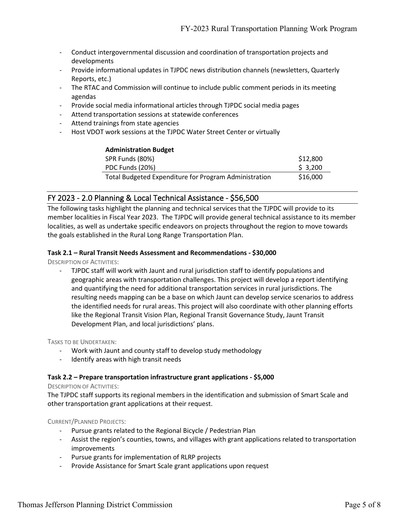- Conduct intergovernmental discussion and coordination of transportation projects and developments
- Provide informational updates in TJPDC news distribution channels (newsletters, Quarterly Reports, etc.)
- The RTAC and Commission will continue to include public comment periods in its meeting agendas
- Provide social media informational articles through TJPDC social media pages
- Attend transportation sessions at statewide conferences
- Attend trainings from state agencies
- Host VDOT work sessions at the TJPDC Water Street Center or virtually

| <b>Administration Budget</b>                          |          |
|-------------------------------------------------------|----------|
| SPR Funds (80%)                                       | \$12,800 |
| PDC Funds (20%)                                       | \$3,200  |
| Total Budgeted Expenditure for Program Administration | \$16,000 |

### <span id="page-7-0"></span>FY 2023 - 2.0 Planning & Local Technical Assistance - \$56,500

The following tasks highlight the planning and technical services that the TJPDC will provide to its member localities in Fiscal Year 2023. The TJPDC will provide general technical assistance to its member localities, as well as undertake specific endeavors on projects throughout the region to move towards the goals established in the Rural Long Range Transportation Plan.

#### <span id="page-7-1"></span>**Task 2.1 – Rural Transit Needs Assessment and Recommendations - \$30,000**

DESCRIPTION OF ACTIVITIES:

- TJPDC staff will work with Jaunt and rural jurisdiction staff to identify populations and geographic areas with transportation challenges. This project will develop a report identifying and quantifying the need for additional transportation services in rural jurisdictions. The resulting needs mapping can be a base on which Jaunt can develop service scenarios to address the identified needs for rural areas. This project will also coordinate with other planning efforts like the Regional Transit Vision Plan, Regional Transit Governance Study, Jaunt Transit Development Plan, and local jurisdictions' plans.

TASKS TO BE UNDERTAKEN:

- Work with Jaunt and county staff to develop study methodology
- Identify areas with high transit needs

#### <span id="page-7-2"></span>**Task 2.2 – Prepare transportation infrastructure grant applications - \$5,000**

DESCRIPTION OF ACTIVITIES:

The TJPDC staff supports its regional members in the identification and submission of Smart Scale and other transportation grant applications at their request.

CURRENT/PLANNED PROJECTS:

- Pursue grants related to the Regional Bicycle / Pedestrian Plan
- Assist the region's counties, towns, and villages with grant applications related to transportation improvements
- Pursue grants for implementation of RLRP projects
- Provide Assistance for Smart Scale grant applications upon request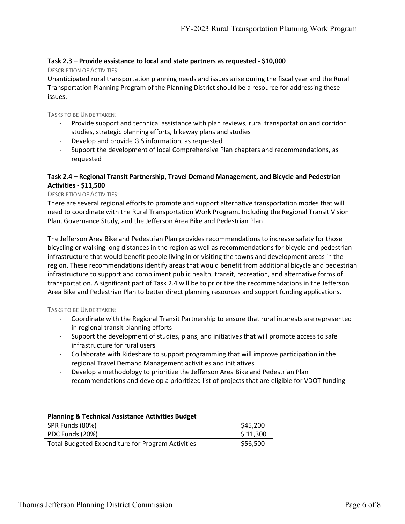#### <span id="page-8-0"></span>**Task 2.3 – Provide assistance to local and state partners as requested - \$10,000**

#### DESCRIPTION OF ACTIVITIES:

Unanticipated rural transportation planning needs and issues arise during the fiscal year and the Rural Transportation Planning Program of the Planning District should be a resource for addressing these issues.

TASKS TO BE UNDERTAKEN:

- Provide support and technical assistance with plan reviews, rural transportation and corridor studies, strategic planning efforts, bikeway plans and studies
- Develop and provide GIS information, as requested
- Support the development of local Comprehensive Plan chapters and recommendations, as requested

### <span id="page-8-1"></span>**Task 2.4 – Regional Transit Partnership, Travel Demand Management, and Bicycle and Pedestrian Activities - \$11,500**

#### DESCRIPTION OF ACTIVITIES:

There are several regional efforts to promote and support alternative transportation modes that will need to coordinate with the Rural Transportation Work Program. Including the Regional Transit Vision Plan, Governance Study, and the Jefferson Area Bike and Pedestrian Plan

The Jefferson Area Bike and Pedestrian Plan provides recommendations to increase safety for those bicycling or walking long distances in the region as well as recommendations for bicycle and pedestrian infrastructure that would benefit people living in or visiting the towns and development areas in the region. These recommendations identify areas that would benefit from additional bicycle and pedestrian infrastructure to support and compliment public health, transit, recreation, and alternative forms of transportation. A significant part of Task 2.4 will be to prioritize the recommendations in the Jefferson Area Bike and Pedestrian Plan to better direct planning resources and support funding applications.

TASKS TO BE UNDERTAKEN:

- Coordinate with the Regional Transit Partnership to ensure that rural interests are represented in regional transit planning efforts
- Support the development of studies, plans, and initiatives that will promote access to safe infrastructure for rural users
- Collaborate with Rideshare to support programming that will improve participation in the regional Travel Demand Management activities and initiatives
- Develop a methodology to prioritize the Jefferson Area Bike and Pedestrian Plan recommendations and develop a prioritized list of projects that are eligible for VDOT funding

| <b>Planning &amp; Technical Assistance Activities Budget</b> |          |
|--------------------------------------------------------------|----------|
| SPR Funds (80%)                                              | \$45,200 |
| PDC Funds (20%)                                              | \$11,300 |
| Total Budgeted Expenditure for Program Activities            | \$56,500 |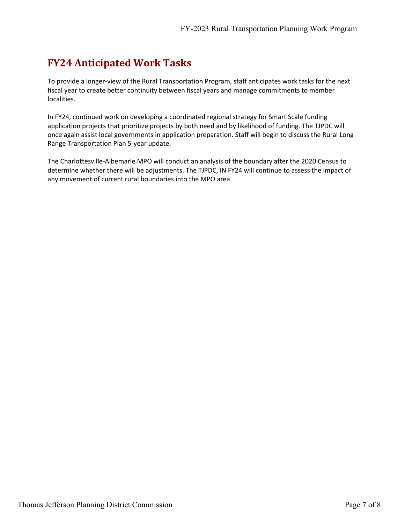# <span id="page-9-0"></span>**FY24 Anticipated Work Tasks**

To provide a longer-view of the Rural Transportation Program, staff anticipates work tasks for the next fiscal year to create better continuity between fiscal years and manage commitments to member localities.

In FY24, continued work on developing a coordinated regional strategy for Smart Scale funding application projects that prioritize projects by both need and by likelihood of funding. The TJPDC will once again assist local governments in application preparation. Staff will begin to discuss the Rural Long Range Transportation Plan 5-year update.

The Charlottesville-Albemarle MPO will conduct an analysis of the boundary after the 2020 Census to determine whether there will be adjustments. The TJPDC, IN FY24 will continue to assess the impact of any movement of current rural boundaries into the MPO area.